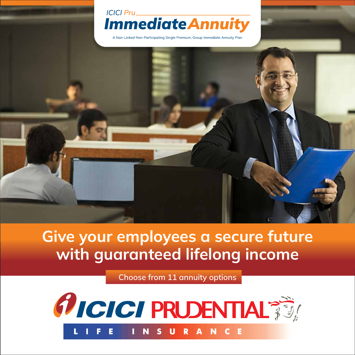

A Non-Linked Non-Participating Single Premium, Group Immediate Annuity Plan



# **Give your employees a secure future with guaranteed lifelong income**

**Choose from 11 annuity options**

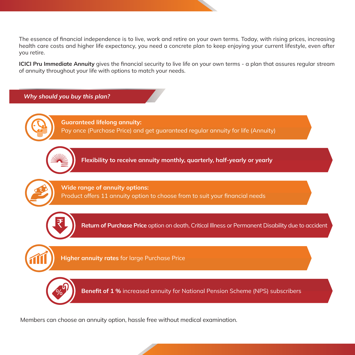The essence of financial independence is to live, work and retire on your own terms. Today, with rising prices, increasing health care costs and higher life expectancy, you need a concrete plan to keep enjoying your current lifestyle, even after you retire.

**ICICI Pru Immediate Annuity** gives the financial security to live life on your own terms - a plan that assures regular stream of annuity throughout your life with options to match your needs.

## *Why should you buy this plan?*



₹

**Flexibility to receive annuity monthly, quarterly, half-yearly or yearly**

**Wide range of annuity options:**

Product offers 11 annuity option to choose from to suit your financial needs



` **Return of Purchase Price** option on death, Critical Illness or Permanent Disability due to accident

**Higher annuity rates** for large Purchase Price



**Benefit of 1 %** increased annuity for National Pension Scheme (NPS) subscribers

Members can choose an annuity option, hassle free without medical examination.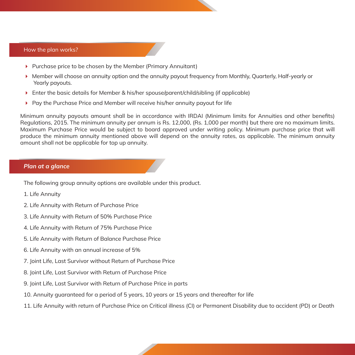#### How the plan works?

- $\triangleright$  Purchase price to be chosen by the Member (Primary Annuitant)
- Member will choose an annuity option and the annuity payout frequency from Monthly, Quarterly, Half-yearly or Yearly payouts.
- Enter the basic details for Member & his/her spouse/parent/child/sibling (if applicable)
- **Pay the Purchase Price and Member will receive his/her annuity payout for life**

Minimum annuity payouts amount shall be in accordance with IRDAI (Minimum limits for Annuities and other benefits) Regulations, 2015. The minimum annuity per annum is Rs. 12,000, (Rs. 1,000 per month) but there are no maximum limits. Maximum Purchase Price would be subject to board approved under writing policy. Minimum purchase price that will produce the minimum annuity mentioned above will depend on the annuity rates, as applicable. The minimum annuity amount shall not be applicable for top up annuity.

#### *Plan at a glance*

The following group annuity options are available under this product.

- 1. Life Annuity
- 2. Life Annuity with Return of Purchase Price
- 3. Life Annuity with Return of 50% Purchase Price
- 4. Life Annuity with Return of 75% Purchase Price
- 5. Life Annuity with Return of Balance Purchase Price
- 6. Life Annuity with an annual increase of 5%
- 7. Joint Life, Last Survivor without Return of Purchase Price
- 8. Joint Life, Last Survivor with Return of Purchase Price
- 9. Joint Life, Last Survivor with Return of Purchase Price in parts
- 10. Annuity guaranteed for a period of 5 years, 10 years or 15 years and thereafter for life
- 11. Life Annuity with return of Purchase Price on Critical illness (CI) or Permanent Disability due to accident (PD) or Death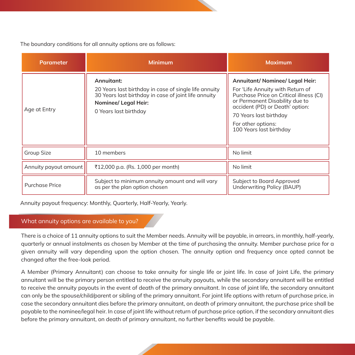The boundary conditions for all annuity options are as follows:

| <b>Parameter</b>      | <b>Minimum</b>                                                                                                                                                               | <b>Maximum</b>                                                                                                                                                                                                                                                 |  |
|-----------------------|------------------------------------------------------------------------------------------------------------------------------------------------------------------------------|----------------------------------------------------------------------------------------------------------------------------------------------------------------------------------------------------------------------------------------------------------------|--|
| Age at Entry          | Annuitant:<br>20 Years last birthday in case of single life annuity<br>30 Years last birthday in case of joint life annuity<br>Nominee/ Legal Heir:<br>0 Years last birthday | Annuitant/ Nominee/ Legal Heir:<br>For 'Life Annuity with Return of<br>Purchase Price on Critical illness (CI)<br>or Permanent Disability due to<br>accident (PD) or Death' option:<br>70 Years last birthday<br>For other options:<br>100 Years last birthday |  |
| <b>Group Size</b>     | 10 members                                                                                                                                                                   | No limit                                                                                                                                                                                                                                                       |  |
| Annuity payout amount | ₹12,000 p.a. (Rs. 1,000 per month)                                                                                                                                           | No limit                                                                                                                                                                                                                                                       |  |
| <b>Purchase Price</b> | Subject to minimum annuity amount and will vary<br>as per the plan option chosen                                                                                             | Subject to Board Approved<br>Underwriting Policy (BAUP)                                                                                                                                                                                                        |  |

Annuity payout frequency: Monthly, Quarterly, Half-Yearly, Yearly.

## What annuity options are available to you?

There is a choice of 11 annuity options to suit the Member needs. Annuity will be payable, in arrears, in monthly, half-yearly, quarterly or annual instalments as chosen by Member at the time of purchasing the annuity. Member purchase price for a given annuity will vary depending upon the option chosen. The annuity option and frequency once opted cannot be changed after the free-look period.

A Member (Primary Annuitant) can choose to take annuity for single life or joint life. In case of Joint Life, the primary annuitant will be the primary person entitled to receive the annuity payouts, while the secondary annuitant will be entitled to receive the annuity payouts in the event of death of the primary annuitant. In case of joint life, the secondary annuitant can only be the spouse/child/parent or sibling of the primary annuitant. For joint life options with return of purchase price, in case the secondary annuitant dies before the primary annuitant, on death of primary annuitant, the purchase price shall be payable to the nominee/legal heir. In case of joint life without return of purchase price option, if the secondary annuitant dies before the primary annuitant, on death of primary annuitant, no further benefits would be payable.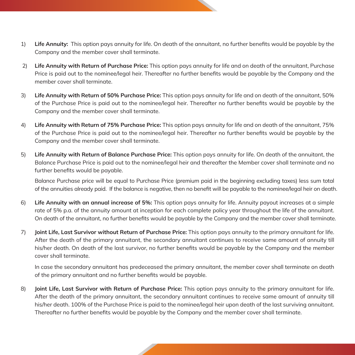- 1) **Life Annuity:** This option pays annuity for life. On death of the annuitant, no further benefits would be payable by the Company and the member cover shall terminate.
- 2) **Life Annuity with Return of Purchase Price:** This option pays annuity for life and on death of the annuitant, Purchase Price is paid out to the nominee/legal heir. Thereafter no further benefits would be payable by the Company and the member cover shall terminate.
- 3) **Life Annuity with Return of 50% Purchase Price:** This option pays annuity for life and on death of the annuitant, 50% of the Purchase Price is paid out to the nominee/legal heir. Thereafter no further benefits would be payable by the Company and the member cover shall terminate.
- 4) **Life Annuity with Return of 75% Purchase Price:** This option pays annuity for life and on death of the annuitant, 75% of the Purchase Price is paid out to the nominee/legal heir. Thereafter no further benefits would be payable by the Company and the member cover shall terminate.
- 5) **Life Annuity with Return of Balance Purchase Price:** This option pays annuity for life. On death of the annuitant, the Balance Purchase Price is paid out to the nominee/legal heir and thereafter the Member cover shall terminate and no further benefits would be payable.

Balance Purchase price will be equal to Purchase Price (premium paid in the beginning excluding taxes) less sum total of the annuities already paid. If the balance is negative, then no benefit will be payable to the nominee/legal heir on death.

- 6) **Life Annuity with an annual increase of 5%:** This option pays annuity for life. Annuity payout increases at a simple rate of 5% p.a. of the annuity amount at inception for each complete policy year throughout the life of the annuitant. On death of the annuitant, no further benefits would be payable by the Company and the member cover shall terminate.
- 7) **Joint Life, Last Survivor without Return of Purchase Price:** This option pays annuity to the primary annuitant for life. After the death of the primary annuitant, the secondary annuitant continues to receive same amount of annuity till his/her death. On death of the last survivor, no further benefits would be payable by the Company and the member cover shall terminate.

 In case the secondary annuitant has predeceased the primary annuitant, the member cover shall terminate on death of the primary annuitant and no further benefits would be payable.

8) **Joint Life, Last Survivor with Return of Purchase Price:** This option pays annuity to the primary annuitant for life. After the death of the primary annuitant, the secondary annuitant continues to receive same amount of annuity till his/her death. 100% of the Purchase Price is paid to the nominee/legal heir upon death of the last surviving annuitant. Thereafter no further benefits would be payable by the Company and the member cover shall terminate.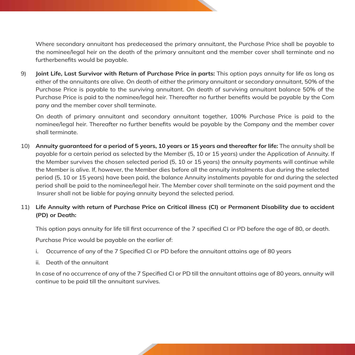Where secondary annuitant has predeceased the primary annuitant, the Purchase Price shall be payable to the nominee/legal heir on the death of the primary annuitant and the member cover shall terminate and no furtherbenefits would be payable.

9) **Joint Life, Last Survivor with Return of Purchase Price in parts:** This option pays annuity for life as long as either of the annuitants are alive. On death of either the primary annuitant or secondary annuitant, 50% of the Purchase Price is payable to the surviving annuitant. On death of surviving annuitant balance 50% of the Purchase Price is paid to the nominee/legal heir. Thereafter no further benefits would be payable by the Com pany and the member cover shall terminate.

 On death of primary annuitant and secondary annuitant together, 100% Purchase Price is paid to the nominee/legal heir. Thereafter no further benefits would be payable by the Company and the member cover shall terminate.

10) **Annuity guaranteed for a period of 5 years, 10 years or 15 years and thereafter for life:** The annuity shall be payable for a certain period as selected by the Member (5, 10 or 15 years) under the Application of Annuity. If the Member survives the chosen selected period (5, 10 or 15 years) the annuity payments will continue while the Member is alive. If, however, the Member dies before all the annuity instalments due during the selected period (5, 10 or 15 years) have been paid, the balance Annuity instalments payable for and during the selected period shall be paid to the nominee/legal heir. The Member cover shall terminate on the said payment and the Insurer shall not be liable for paying annuity beyond the selected period.

## 11) **Life Annuity with return of Purchase Price on Critical illness (CI) or Permanent Disability due to accident (PD) or Death:**

This option pays annuity for life till first occurrence of the 7 specified CI or PD before the age of 80, or death.

Purchase Price would be payable on the earlier of:

- i. Occurrence of any of the 7 Specified CI or PD before the annuitant attains age of 80 years
- ii. Death of the annuitant

 In case of no occurrence of any of the 7 Specified CI or PD till the annuitant attains age of 80 years, annuity will continue to be paid till the annuitant survives.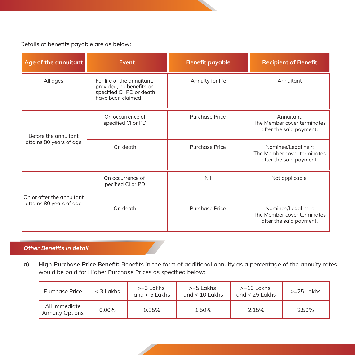Details of benefits payable are as below:

| Age of the annuitant                                 | <b>Event</b>                                                                                             | <b>Benefit payable</b> | <b>Recipient of Benefit</b>                                                   |  |
|------------------------------------------------------|----------------------------------------------------------------------------------------------------------|------------------------|-------------------------------------------------------------------------------|--|
| All ages                                             | For life of the annuitant,<br>provided, no benefits on<br>specified CI, PD or death<br>have been claimed | Annuity for life       | Annuitant                                                                     |  |
| Before the annuitant<br>attains 80 years of age      | On occurrence of<br>specified CI or PD                                                                   | Purchase Price         | Annuitant;<br>The Member cover terminates<br>after the said payment.          |  |
|                                                      | On death                                                                                                 | Purchase Price         | Nominee/Legal heir;<br>The Member cover terminates<br>after the said payment. |  |
| On or after the annuitant<br>attains 80 years of age | On occurrence of<br>pecified CI or PD                                                                    | Nil                    | Not applicable                                                                |  |
|                                                      | On death                                                                                                 | Purchase Price         | Nominee/Legal heir;<br>The Member cover terminates<br>after the said payment. |  |

## *Other Benefits in detail*

**a) High Purchase Price Benefit:** Benefits in the form of additional annuity as a percentage of the annuity rates would be paid for Higher Purchase Prices as specified below:

| Purchase Price                          | $<$ 3 Lakhs | $>=$ 3 Lakhs<br>and $< 5$ Lakhs | >=5 Lakhs<br>and $< 10$ Lakhs | $>=10$ Lakhs<br>and $<$ 25 Lakhs | $>=25$ Lakhs |
|-----------------------------------------|-------------|---------------------------------|-------------------------------|----------------------------------|--------------|
| All Immediate<br><b>Annuity Options</b> | 0.00%       | 0.85%                           | 1.50%                         | 2.15%                            | 2.50%        |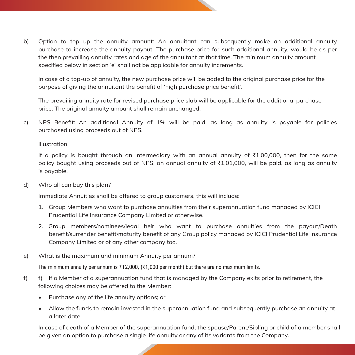b) Option to top up the annuity amount: An annuitant can subsequently make an additional annuity purchase to increase the annuity payout. The purchase price for such additional annuity, would be as per the then prevailing annuity rates and age of the annuitant at that time. The minimum annuity amount specified below in section 'e' shall not be applicable for annuity increments.

 In case of a top-up of annuity, the new purchase price will be added to the original purchase price for the purpose of giving the annuitant the benefit of 'high purchase price benefit'.

 The prevailing annuity rate for revised purchase price slab will be applicable for the additional purchase price. The original annuity amount shall remain unchanged.

c) NPS Benefit: An additional Annuity of 1% will be paid, as long as annuity is payable for policies purchased using proceeds out of NPS.

#### Illustration

If a policy is bought through an intermediary with an annual annuity of  $\overline{1,00,000}$ , then for the same policy bought using proceeds out of NPS, an annual annuity of  $\bar{\tau}1,01,000$ , will be paid, as long as annuity is payable.

d) Who all can buy this plan?

Immediate Annuities shall be offered to group customers, this will include:

- 1. Group Members who want to purchase annuities from their superannuation fund managed by ICICI Prudential Life Insurance Company Limited or otherwise.
- 2. Group members/nominees/legal heir who want to purchase annuities from the payout/Death benefit/surrender benefit/maturity benefit of any Group policy managed by ICICI Prudential Life Insurance Company Limited or of any other company too.
- e) What is the maximum and minimum Annuity per annum?

The minimum annuity per annum is  $\overline{\tau}$ 12,000, ( $\overline{\tau}$ 1,000 per month) but there are no maximum limits.

- f) f) If a Member of a superannuation fund that is managed by the Company exits prior to retirement, the following choices may be offered to the Member:
	- Purchase any of the life annuity options; or
	- Allow the funds to remain invested in the superannuation fund and subsequently purchase an annuity at a later date.

 In case of death of a Member of the superannuation fund, the spouse/Parent/Sibling or child of a member shall be given an option to purchase a single life annuity or any of its variants from the Company.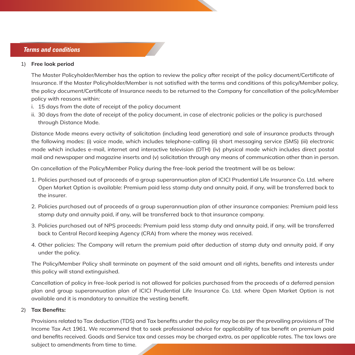#### 1) **Free look period**

 The Master Policyholder/Member has the option to review the policy after receipt of the policy document/Certificate of Insurance. If the Master Policyholder/Member is not satisfied with the terms and conditions of this policy/Member policy, the policy document/Certificate of Insurance needs to be returned to the Company for cancellation of the policy/Member policy with reasons within:

- i. 15 days from the date of receipt of the policy document
- ii. 30 days from the date of receipt of the policy document, in case of electronic policies or the policy is purchased through Distance Mode.

Distance Mode means every activity of solicitation (including lead generation) and sale of insurance products through the following modes: (i) voice mode, which includes telephone-calling (ii) short messaging service (SMS) (iii) electronic mode which includes e-mail, internet and interactive television (DTH) (iv) physical mode which includes direct postal mail and newspaper and magazine inserts and (v) solicitation through any means of communication other than in person.

On cancellation of the Policy/Member Policy during the free-look period the treatment will be as below:

- 1. Policies purchased out of proceeds of a group superannuation plan of ICICI Prudential Life Insurance Co. Ltd. where Open Market Option is available: Premium paid less stamp duty and annuity paid, if any, will be transferred back to the insurer.
- 2. Policies purchased out of proceeds of a group superannuation plan of other insurance companies: Premium paid less stamp duty and annuity paid, if any, will be transferred back to that insurance company.
- 3. Policies purchased out of NPS proceeds: Premium paid less stamp duty and annuity paid, if any, will be transferred back to Central Record keeping Agency (CRA) from where the money was received.
- 4. Other policies: The Company will return the premium paid after deduction of stamp duty and annuity paid, if any under the policy.

 The Policy/Member Policy shall terminate on payment of the said amount and all rights, benefits and interests under this policy will stand extinguished.

 Cancellation of policy in free-look period is not allowed for policies purchased from the proceeds of a deferred pension plan and group superannuation plan of ICICI Prudential Life Insurance Co. Ltd. where Open Market Option is not available and it is mandatory to annuitize the vesting benefit.

#### 2) **Tax Benefits:**

 Provisions related to Tax deduction (TDS) and Tax benefits under the policy may be as per the prevailing provisions of The Income Tax Act 1961. We recommend that to seek professional advice for applicability of tax benefit on premium paid and benefits received. Goods and Service tax and cesses may be charged extra, as per applicable rates. The tax laws are subject to amendments from time to time.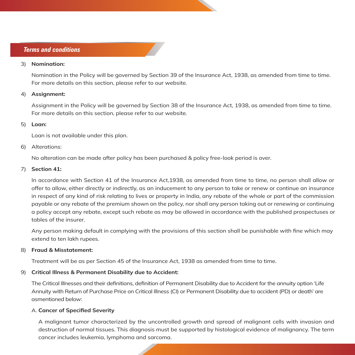#### 3) **Nomination:**

 Nomination in the Policy will be governed by Section 39 of the Insurance Act, 1938, as amended from time to time. For more details on this section, please refer to our website.

#### 4) **Assignment:**

 Assignment in the Policy will be governed by Section 38 of the Insurance Act, 1938, as amended from time to time. For more details on this section, please refer to our website.

#### 5) **Loan:**

Loan is not available under this plan.

#### 6) Alterations:

No alteration can be made after policy has been purchased & policy free-look period is over.

#### 7) **Section 41:**

 In accordance with Section 41 of the Insurance Act,1938, as amended from time to time, no person shall allow or offer to allow, either directly or indirectly, as an inducement to any person to take or renew or continue an insurance in respect of any kind of risk relating to lives or property in India, any rebate of the whole or part of the commission payable or any rebate of the premium shown on the policy, nor shall any person taking out or renewing or continuing a policy accept any rebate, except such rebate as may be allowed in accordance with the published prospectuses or tables of the insurer.

 Any person making default in complying with the provisions of this section shall be punishable with fine which may extend to ten lakh rupees.

#### 8) **Fraud & Misstatement:**

Treatment will be as per Section 45 of the Insurance Act, 1938 as amended from time to time.

#### 9) **Critical Illness & Permanent Disability due to Accident:**

The Critical Illnesses and their definitions, definition of Permanent Disability due to Accident for the annuity option 'Life Annuity with Return of Purchase Price on Critical Illness (CI) or Permanent Disability due to accident (PD) or death' are asmentioned below:

#### A. **Cancer of Specified Severity**

 A malignant tumor characterized by the uncontrolled growth and spread of malignant cells with invasion and destruction of normal tissues. This diagnosis must be supported by histological evidence of malignancy. The term cancer includes leukemia, lymphoma and sarcoma.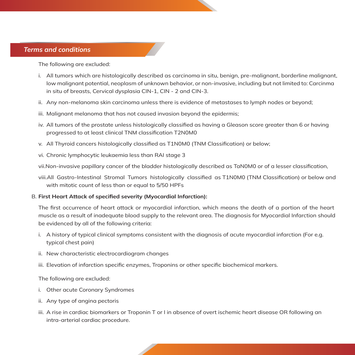The following are excluded:

- i. All tumors which are histologically described as carcinoma in situ, benign, pre-malignant, borderline malignant, low malignant potential, neoplasm of unknown behavior, or non-invasive, including but not limited to: Carcinma in situ of breasts, Cervical dysplasia CIN-1, CIN - 2 and CIN-3.
- ii. Any non-melanoma skin carcinoma unless there is evidence of metastases to lymph nodes or beyond;
- iii. Malignant melanoma that has not caused invasion beyond the epidermis;
- iv. All tumors of the prostate unless histologically classified as having a Gleason score greater than 6 or having progressed to at least clinical TNM classification T2N0M0
- v. All Thyroid cancers histologically classified as T1N0M0 (TNM Classification) or below;
- vi. Chronic lymphocytic leukaemia less than RAI stage 3

vii.Non-invasive papillary cancer of the bladder histologically described as TaN0M0 or of a lesser classification,

 viii.All Gastro-Intestinal Stromal Tumors histologically classified as T1N0M0 (TNM Classification) or below and with mitotic count of less than or equal to 5/50 HPFs

#### B. **First Heart Attack of specified severity (Myocardial Infarction):**

 The first occurrence of heart attack or myocardial infarction, which means the death of a portion of the heart muscle as a result of inadequate blood supply to the relevant area. The diagnosis for Myocardial Infarction should be evidenced by all of the following criteria:

- i. A history of typical clinical symptoms consistent with the diagnosis of acute myocardial infarction (For e.g. typical chest pain)
- ii. New characteristic electrocardiogram changes
- iii. Elevation of infarction specific enzymes, Troponins or other specific biochemical markers.

The following are excluded:

- i. Other acute Coronary Syndromes
- ii. Any type of angina pectoris
- iii. A rise in cardiac biomarkers or Troponin T or I in absence of overt ischemic heart disease OR following an intra-arterial cardiac procedure.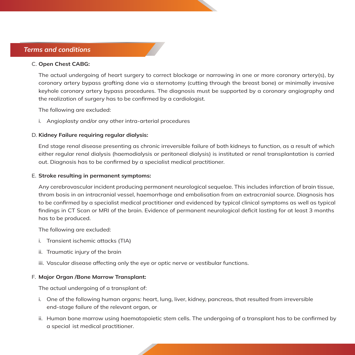#### C. **Open Chest CABG:**

 The actual undergoing of heart surgery to correct blockage or narrowing in one or more coronary artery(s), by coronary artery bypass grafting done via a sternotomy (cutting through the breast bone) or minimally invasive keyhole coronary artery bypass procedures. The diagnosis must be supported by a coronary angiography and the realization of surgery has to be confirmed by a cardiologist.

The following are excluded:

i. Angioplasty and/or any other intra-arterial procedures

#### D. **Kidney Failure requiring regular dialysis:**

 End stage renal disease presenting as chronic irreversible failure of both kidneys to function, as a result of which either regular renal dialysis (haemodialysis or peritoneal dialysis) is instituted or renal transplantation is carried out. Diagnosis has to be confirmed by a specialist medical practitioner.

#### E. **Stroke resulting in permanent symptoms:**

 Any cerebrovascular incident producing permanent neurological sequelae. This includes infarction of brain tissue, throm bosis in an intracranial vessel, haemorrhage and embolisation from an extracranial source. Diagnosis has to be confirmed by a specialist medical practitioner and evidenced by typical clinical symptoms as well as typical findings in CT Scan or MRI of the brain. Evidence of permanent neurological deficit lasting for at least 3 months has to be produced.

The following are excluded:

- i. Transient ischemic attacks (TIA)
- ii. Traumatic injury of the brain
- iii. Vascular disease affecting only the eye or optic nerve or vestibular functions.

#### F. **Major Organ /Bone Marrow Transplant:**

The actual undergoing of a transplant of:

- i. One of the following human organs: heart, lung, liver, kidney, pancreas, that resulted from irreversible end-stage failure of the relevant organ, or
- ii. Human bone marrow using haematopoietic stem cells. The undergoing of a transplant has to be confirmed by a special ist medical practitioner.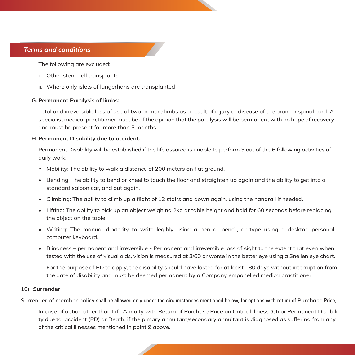The following are excluded:

- i. Other stem-cell transplants
- ii. Where only islets of langerhans are transplanted

#### **G. Permanent Paralysis of limbs:**

 Total and irreversible loss of use of two or more limbs as a result of injury or disease of the brain or spinal cord. A specialist medical practitioner must be of the opinion that the paralysis will be permanent with no hope of recovery and must be present for more than 3 months.

#### H. **Permanent Disability due to accident:**

 Permanent Disability will be established if the life assured is unable to perform 3 out of the 6 following activities of daily work:

- Mobility: The ability to walk a distance of 200 meters on flat ground.
- Bending: The ability to bend or kneel to touch the floor and straighten up again and the ability to get into a standard saloon car, and out again.
- Climbing: The ability to climb up a flight of 12 stairs and down again, using the handrail if needed.
- Lifting: The ability to pick up an object weighing 2kg at table height and hold for 60 seconds before replacing the object on the table.
- Writing: The manual dexterity to write legibly using a pen or pencil, or type using a desktop personal computer keyboard.
- Blindness permanent and irreversible Permanent and irreversible loss of sight to the extent that even when tested with the use of visual aids, vision is measured at 3/60 or worse in the better eye using a Snellen eye chart.

 For the purpose of PD to apply, the disability should have lasted for at least 180 days without interruption from the date of disability and must be deemed permanent by a Company empanelled medica practitioner.

#### 10) **Surrender**

Surrender of member policy shall be allowed only under the circumstances mentioned below, for options with return of Purchase Price;

i. In case of option other than Life Annuity with Return of Purchase Price on Critical illness (CI) or Permanent Disabili ty due to accident (PD) or Death, if the pimary annuitant/secondary annuitant is diagnosed as suffering from any of the critical illnesses mentioned in point 9 above.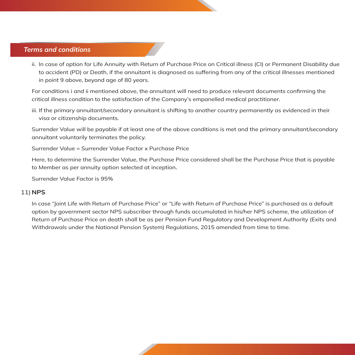ii. In case of option for Life Annuity with Return of Purchase Price on Critical illness (CI) or Permanent Disability due to accident (PD) or Death, if the annuitant is diagnosed as suffering from any of the critical illnesses mentioned in point 9 above, beyond age of 80 years.

 For conditions i and ii mentioned above, the annuitant will need to produce relevant documents confirming the critical illness condition to the satisfaction of the Company's empanelled medical practitioner.

 iii. If the primary annuitant/secondary annuitant is shifting to another country permanently as evidenced in their visa or citizenship documents.

Surrender Value will be payable if at least one of the above conditions is met and the primary annuitant/secondary annuitant voluntarily terminates the policy.

Surrender Value = Surrender Value Factor x Purchase Price

Here, to determine the Surrender Value, the Purchase Price considered shall be the Purchase Price that is payable to Member as per annuity option selected at inception.

Surrender Value Factor is 95%

#### 11) **NPS**

In case "Joint Life with Return of Purchase Price" or "Life with Return of Purchase Price" is purchased as a default option by government sector NPS subscriber through funds accumulated in his/her NPS scheme, the utilization of Return of Purchase Price on death shall be as per Pension Fund Regulatory and Development Authority (Exits and Withdrawals under the National Pension System) Regulations, 2015 amended from time to time.